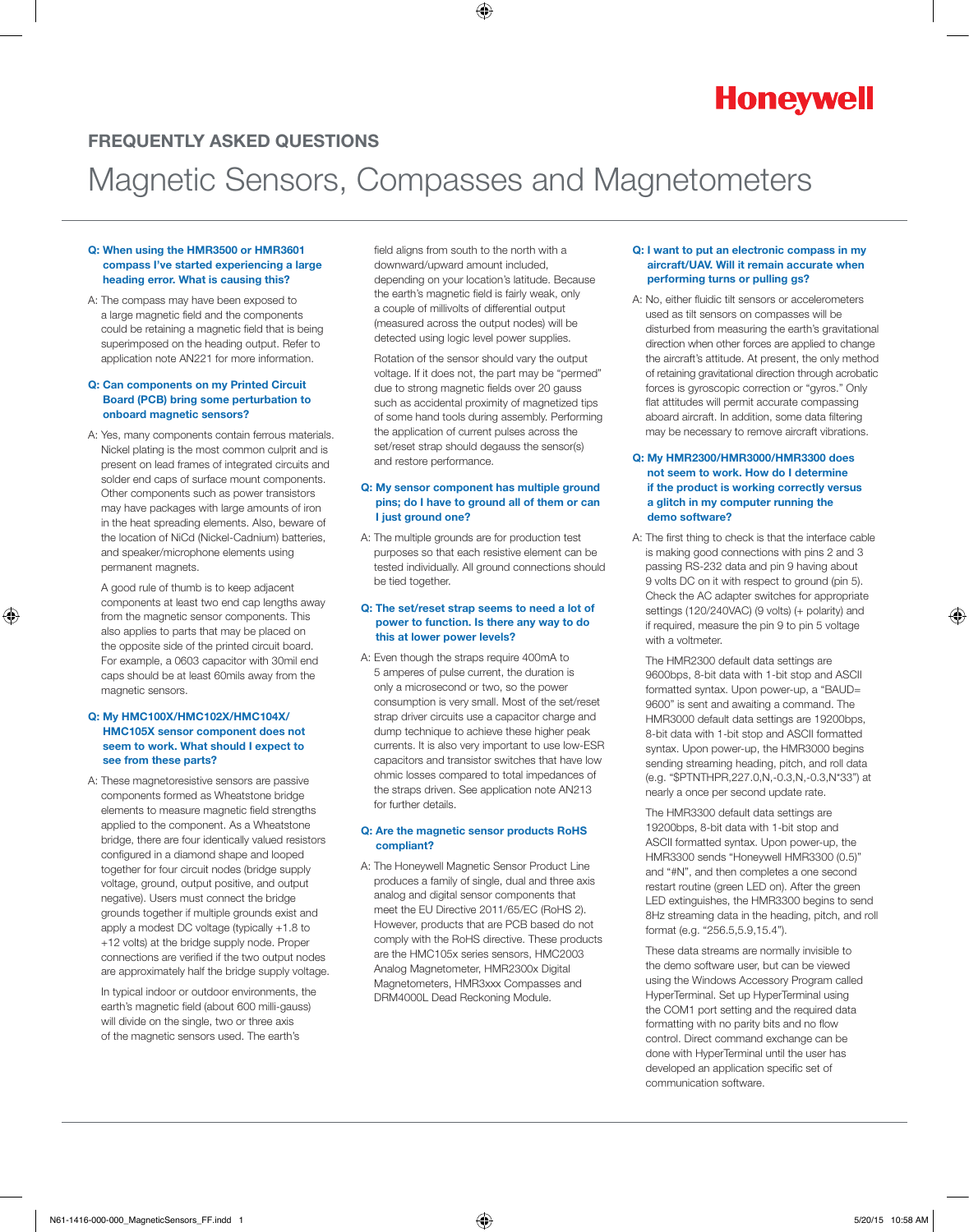# **Honeywell**

## FREQUENTLY ASKED QUESTIONS

# Magnetic Sensors, Compasses and Magnetometers

#### Q: When using the HMR3500 or HMR3601 compass I've started experiencing a large heading error. What is causing this?

A: The compass may have been exposed to a large magnetic field and the components could be retaining a magnetic field that is being superimposed on the heading output. Refer to application note AN221 for more information.

#### Q: Can components on my Printed Circuit Board (PCB) bring some perturbation to onboard magnetic sensors?

A: Yes, many components contain ferrous materials. Nickel plating is the most common culprit and is present on lead frames of integrated circuits and solder end caps of surface mount components. Other components such as power transistors may have packages with large amounts of iron in the heat spreading elements. Also, beware of the location of NiCd (Nickel-Cadnium) batteries, and speaker/microphone elements using permanent magnets.

 A good rule of thumb is to keep adjacent components at least two end cap lengths away from the magnetic sensor components. This also applies to parts that may be placed on the opposite side of the printed circuit board. For example, a 0603 capacitor with 30mil end caps should be at least 60mils away from the magnetic sensors.

#### Q: My HMC100X/HMC102X/HMC104X/ HMC105X sensor component does not seem to work. What should I expect to see from these parts?

A: These magnetoresistive sensors are passive components formed as Wheatstone bridge elements to measure magnetic field strengths applied to the component. As a Wheatstone bridge, there are four identically valued resistors configured in a diamond shape and looped together for four circuit nodes (bridge supply voltage, ground, output positive, and output negative). Users must connect the bridge grounds together if multiple grounds exist and apply a modest DC voltage (typically +1.8 to +12 volts) at the bridge supply node. Proper connections are verified if the two output nodes are approximately half the bridge supply voltage.

 In typical indoor or outdoor environments, the earth's magnetic field (about 600 milli-gauss) will divide on the single, two or three axis of the magnetic sensors used. The earth's

field aligns from south to the north with a downward/upward amount included, depending on your location's latitude. Because the earth's magnetic field is fairly weak, only a couple of millivolts of differential output (measured across the output nodes) will be detected using logic level power supplies.

 Rotation of the sensor should vary the output voltage. If it does not, the part may be "permed" due to strong magnetic fields over 20 gauss such as accidental proximity of magnetized tips of some hand tools during assembly. Performing the application of current pulses across the set/reset strap should degauss the sensor(s) and restore performance.

#### Q: My sensor component has multiple ground pins; do I have to ground all of them or can I just ground one?

A: The multiple grounds are for production test purposes so that each resistive element can be tested individually. All ground connections should be tied together.

#### Q: The set/reset strap seems to need a lot of power to function. Is there any way to do this at lower power levels?

A: Even though the straps require 400mA to 5 amperes of pulse current, the duration is only a microsecond or two, so the power consumption is very small. Most of the set/reset strap driver circuits use a capacitor charge and dump technique to achieve these higher peak currents. It is also very important to use low-ESR capacitors and transistor switches that have low ohmic losses compared to total impedances of the straps driven. See application note AN213 for further details.

#### Q: Are the magnetic sensor products RoHS compliant?

A: The Honeywell Magnetic Sensor Product Line produces a family of single, dual and three axis analog and digital sensor components that meet the EU Directive 2011/65/EC (RoHS 2). However, products that are PCB based do not comply with the RoHS directive. These products are the HMC105x series sensors, HMC2003 Analog Magnetometer, HMR2300x Digital Magnetometers, HMR3xxx Compasses and DRM4000L Dead Reckoning Module.

#### Q: I want to put an electronic compass in my aircraft/UAV. Will it remain accurate when performing turns or pulling gs?

A: No, either fluidic tilt sensors or accelerometers used as tilt sensors on compasses will be disturbed from measuring the earth's gravitational direction when other forces are applied to change the aircraft's attitude. At present, the only method of retaining gravitational direction through acrobatic forces is gyroscopic correction or "gyros." Only flat attitudes will permit accurate compassing aboard aircraft. In addition, some data filtering may be necessary to remove aircraft vibrations.

#### Q: My HMR2300/HMR3000/HMR3300 does not seem to work. How do I determine if the product is working correctly versus a glitch in my computer running the demo software?

A: The first thing to check is that the interface cable is making good connections with pins 2 and 3 passing RS-232 data and pin 9 having about 9 volts DC on it with respect to ground (pin 5). Check the AC adapter switches for appropriate settings (120/240VAC) (9 volts) (+ polarity) and if required, measure the pin 9 to pin 5 voltage with a voltmeter.

 The HMR2300 default data settings are 9600bps, 8-bit data with 1-bit stop and ASCII formatted syntax. Upon power-up, a "BAUD= 9600" is sent and awaiting a command. The HMR3000 default data settings are 19200bps, 8-bit data with 1-bit stop and ASCII formatted syntax. Upon power-up, the HMR3000 begins sending streaming heading, pitch, and roll data (e.g. "\$PTNTHPR,227.0,N,-0.3,N,-0.3,N\*33") at nearly a once per second update rate.

 The HMR3300 default data settings are 19200bps, 8-bit data with 1-bit stop and ASCII formatted syntax. Upon power-up, the HMR3300 sends "Honeywell HMR3300 (0.5)" and "#N", and then completes a one second restart routine (green LED on). After the green LED extinguishes, the HMR3300 begins to send 8Hz streaming data in the heading, pitch, and roll format (e.g. "256.5,5.9,15.4").

 These data streams are normally invisible to the demo software user, but can be viewed using the Windows Accessory Program called HyperTerminal. Set up HyperTerminal using the COM1 port setting and the required data formatting with no parity bits and no flow control. Direct command exchange can be done with HyperTerminal until the user has developed an application specific set of communication software.